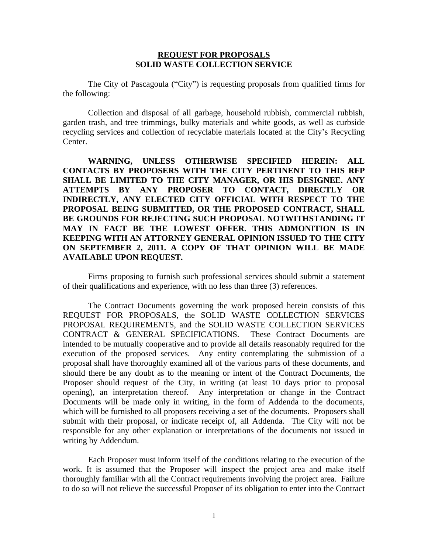## **REQUEST FOR PROPOSALS SOLID WASTE COLLECTION SERVICE**

The City of Pascagoula ("City") is requesting proposals from qualified firms for the following:

Collection and disposal of all garbage, household rubbish, commercial rubbish, garden trash, and tree trimmings, bulky materials and white goods, as well as curbside recycling services and collection of recyclable materials located at the City's Recycling Center.

**WARNING, UNLESS OTHERWISE SPECIFIED HEREIN: ALL CONTACTS BY PROPOSERS WITH THE CITY PERTINENT TO THIS RFP SHALL BE LIMITED TO THE CITY MANAGER, OR HIS DESIGNEE. ANY ATTEMPTS BY ANY PROPOSER TO CONTACT, DIRECTLY OR INDIRECTLY, ANY ELECTED CITY OFFICIAL WITH RESPECT TO THE PROPOSAL BEING SUBMITTED, OR THE PROPOSED CONTRACT, SHALL BE GROUNDS FOR REJECTING SUCH PROPOSAL NOTWITHSTANDING IT MAY IN FACT BE THE LOWEST OFFER. THIS ADMONITION IS IN KEEPING WITH AN ATTORNEY GENERAL OPINION ISSUED TO THE CITY ON SEPTEMBER 2, 2011. A COPY OF THAT OPINION WILL BE MADE AVAILABLE UPON REQUEST.**

Firms proposing to furnish such professional services should submit a statement of their qualifications and experience, with no less than three (3) references.

The Contract Documents governing the work proposed herein consists of this REQUEST FOR PROPOSALS, the SOLID WASTE COLLECTION SERVICES PROPOSAL REQUIREMENTS, and the SOLID WASTE COLLECTION SERVICES CONTRACT & GENERAL SPECIFICATIONS. These Contract Documents are intended to be mutually cooperative and to provide all details reasonably required for the execution of the proposed services. Any entity contemplating the submission of a proposal shall have thoroughly examined all of the various parts of these documents, and should there be any doubt as to the meaning or intent of the Contract Documents, the Proposer should request of the City, in writing (at least 10 days prior to proposal opening), an interpretation thereof. Any interpretation or change in the Contract Documents will be made only in writing, in the form of Addenda to the documents, which will be furnished to all proposers receiving a set of the documents. Proposers shall submit with their proposal, or indicate receipt of, all Addenda. The City will not be responsible for any other explanation or interpretations of the documents not issued in writing by Addendum.

Each Proposer must inform itself of the conditions relating to the execution of the work. It is assumed that the Proposer will inspect the project area and make itself thoroughly familiar with all the Contract requirements involving the project area. Failure to do so will not relieve the successful Proposer of its obligation to enter into the Contract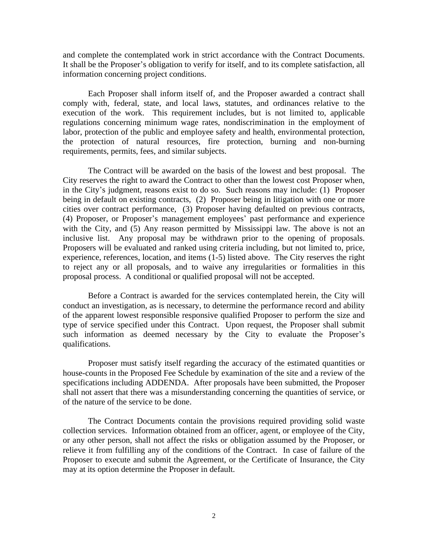and complete the contemplated work in strict accordance with the Contract Documents. It shall be the Proposer's obligation to verify for itself, and to its complete satisfaction, all information concerning project conditions.

Each Proposer shall inform itself of, and the Proposer awarded a contract shall comply with, federal, state, and local laws, statutes, and ordinances relative to the execution of the work. This requirement includes, but is not limited to, applicable regulations concerning minimum wage rates, nondiscrimination in the employment of labor, protection of the public and employee safety and health, environmental protection, the protection of natural resources, fire protection, burning and non-burning requirements, permits, fees, and similar subjects.

The Contract will be awarded on the basis of the lowest and best proposal. The City reserves the right to award the Contract to other than the lowest cost Proposer when, in the City's judgment, reasons exist to do so. Such reasons may include: (1) Proposer being in default on existing contracts, (2) Proposer being in litigation with one or more cities over contract performance, (3) Proposer having defaulted on previous contracts, (4) Proposer, or Proposer's management employees' past performance and experience with the City, and (5) Any reason permitted by Mississippi law. The above is not an inclusive list. Any proposal may be withdrawn prior to the opening of proposals. Proposers will be evaluated and ranked using criteria including, but not limited to, price, experience, references, location, and items (1-5) listed above. The City reserves the right to reject any or all proposals, and to waive any irregularities or formalities in this proposal process. A conditional or qualified proposal will not be accepted.

Before a Contract is awarded for the services contemplated herein, the City will conduct an investigation, as is necessary, to determine the performance record and ability of the apparent lowest responsible responsive qualified Proposer to perform the size and type of service specified under this Contract. Upon request, the Proposer shall submit such information as deemed necessary by the City to evaluate the Proposer's qualifications.

Proposer must satisfy itself regarding the accuracy of the estimated quantities or house-counts in the Proposed Fee Schedule by examination of the site and a review of the specifications including ADDENDA. After proposals have been submitted, the Proposer shall not assert that there was a misunderstanding concerning the quantities of service, or of the nature of the service to be done.

The Contract Documents contain the provisions required providing solid waste collection services. Information obtained from an officer, agent, or employee of the City, or any other person, shall not affect the risks or obligation assumed by the Proposer, or relieve it from fulfilling any of the conditions of the Contract. In case of failure of the Proposer to execute and submit the Agreement, or the Certificate of Insurance, the City may at its option determine the Proposer in default.